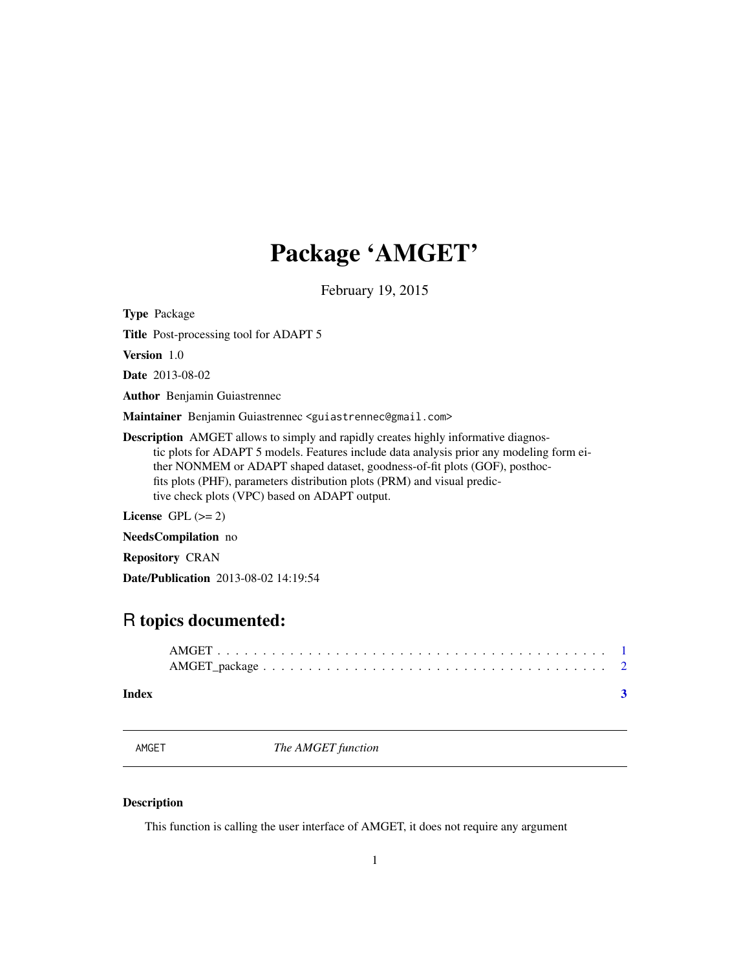## <span id="page-0-0"></span>Package 'AMGET'

February 19, 2015

Type Package

Title Post-processing tool for ADAPT 5

Version 1.0

Date 2013-08-02

Author Benjamin Guiastrennec

Maintainer Benjamin Guiastrennec <guiastrennec@gmail.com>

Description AMGET allows to simply and rapidly creates highly informative diagnostic plots for ADAPT 5 models. Features include data analysis prior any modeling form either NONMEM or ADAPT shaped dataset, goodness-of-fit plots (GOF), posthocfits plots (PHF), parameters distribution plots (PRM) and visual predictive check plots (VPC) based on ADAPT output.

License GPL  $(>= 2)$ 

NeedsCompilation no

Repository CRAN

Date/Publication 2013-08-02 14:19:54

### R topics documented:

| Index |  |
|-------|--|

AMGET *The AMGET function*

#### Description

This function is calling the user interface of AMGET, it does not require any argument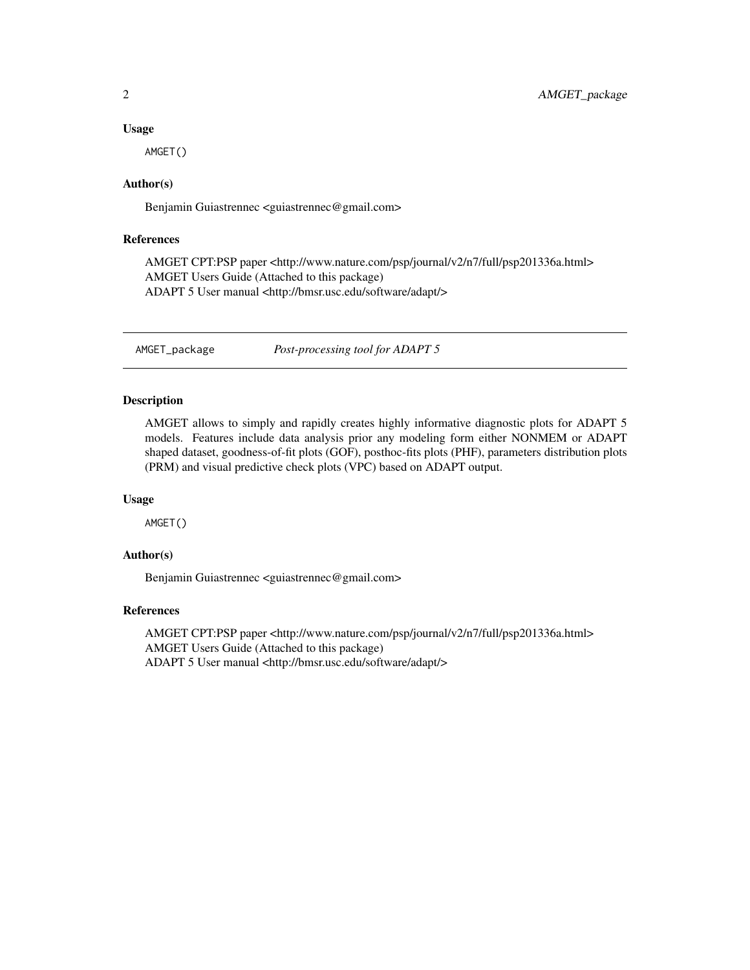#### Usage

AMGET()

#### Author(s)

Benjamin Guiastrennec <guiastrennec@gmail.com>

#### References

AMGET CPT:PSP paper <http://www.nature.com/psp/journal/v2/n7/full/psp201336a.html> AMGET Users Guide (Attached to this package) ADAPT 5 User manual <http://bmsr.usc.edu/software/adapt/>

AMGET\_package *Post-processing tool for ADAPT 5*

#### Description

AMGET allows to simply and rapidly creates highly informative diagnostic plots for ADAPT 5 models. Features include data analysis prior any modeling form either NONMEM or ADAPT shaped dataset, goodness-of-fit plots (GOF), posthoc-fits plots (PHF), parameters distribution plots (PRM) and visual predictive check plots (VPC) based on ADAPT output.

#### Usage

AMGET()

#### Author(s)

Benjamin Guiastrennec <guiastrennec@gmail.com>

#### References

AMGET CPT:PSP paper <http://www.nature.com/psp/journal/v2/n7/full/psp201336a.html> AMGET Users Guide (Attached to this package) ADAPT 5 User manual <http://bmsr.usc.edu/software/adapt/>

<span id="page-1-0"></span>